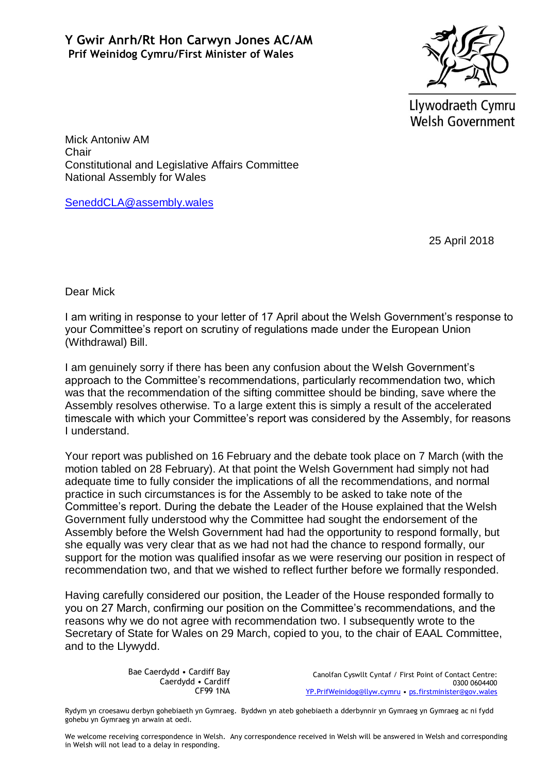

Llywodraeth Cymru **Welsh Government** 

Mick Antoniw AM Chair Constitutional and Legislative Affairs Committee National Assembly for Wales

[SeneddCLA@assembly.wales](mailto:SeneddCLA@assembly.wales)

25 April 2018

Dear Mick

I am writing in response to your letter of 17 April about the Welsh Government's response to your Committee's report on scrutiny of regulations made under the European Union (Withdrawal) Bill.

I am genuinely sorry if there has been any confusion about the Welsh Government's approach to the Committee's recommendations, particularly recommendation two, which was that the recommendation of the sifting committee should be binding, save where the Assembly resolves otherwise. To a large extent this is simply a result of the accelerated timescale with which your Committee's report was considered by the Assembly, for reasons I understand.

Your report was published on 16 February and the debate took place on 7 March (with the motion tabled on 28 February). At that point the Welsh Government had simply not had adequate time to fully consider the implications of all the recommendations, and normal practice in such circumstances is for the Assembly to be asked to take note of the Committee's report. During the debate the Leader of the House explained that the Welsh Government fully understood why the Committee had sought the endorsement of the Assembly before the Welsh Government had had the opportunity to respond formally, but she equally was very clear that as we had not had the chance to respond formally, our support for the motion was qualified insofar as we were reserving our position in respect of recommendation two, and that we wished to reflect further before we formally responded.

Having carefully considered our position, the Leader of the House responded formally to you on 27 March, confirming our position on the Committee's recommendations, and the reasons why we do not agree with recommendation two. I subsequently wrote to the Secretary of State for Wales on 29 March, copied to you, to the chair of EAAL Committee, and to the Llywydd.

> Bae Caerdydd • Cardiff Bay Caerdydd • Cardiff CF99 1NA

Canolfan Cyswllt Cyntaf / First Point of Contact Centre: 0300 0604400 [YP.PrifWeinidog@llyw.cymru](mailto:YP.PrifWeinidog@llyw.cymru) • [ps.firstminister@gov.wales](mailto:ps.firstminister@gov.wales)

Rydym yn croesawu derbyn gohebiaeth yn Gymraeg. Byddwn yn ateb gohebiaeth a dderbynnir yn Gymraeg yn Gymraeg ac ni fydd gohebu yn Gymraeg yn arwain at oedi.

We welcome receiving correspondence in Welsh. Any correspondence received in Welsh will be answered in Welsh and corresponding in Welsh will not lead to a delay in responding.